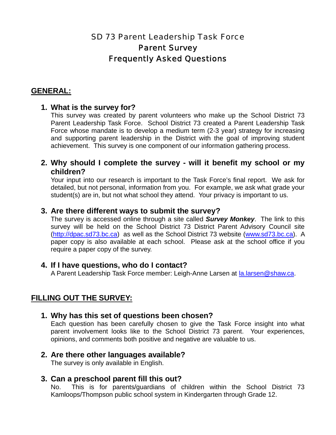# SD 73 Parent Leadership Task Force Parent Survey Frequently Asked Questions

### **GENERAL:**

### **1. What is the survey for?**

This survey was created by parent volunteers who make up the School District 73 Parent Leadership Task Force. School District 73 created a Parent Leadership Task Force whose mandate is to develop a medium term (2-3 year) strategy for increasing and supporting parent leadership in the District with the goal of improving student achievement. This survey is one component of our information gathering process.

### **2. Why should I complete the survey - will it benefit my school or my children?**

Your input into our research is important to the Task Force's final report. We ask for detailed, but not personal, information from you. For example, we ask what grade your student(s) are in, but not what school they attend. Your privacy is important to us.

### **3. Are there different ways to submit the survey?**

The survey is accessed online through a site called *Survey Monkey*. The link to this survey will be held on the School District 73 District Parent Advisory Council site (http://dpac.sd73.bc.ca) as well as the School District 73 website (www.sd73.bc.ca). A paper copy is also available at each school. Please ask at the school office if you require a paper copy of the survey.

### **4. If I have questions, who do I contact?**

A Parent Leadership Task Force member: Leigh-Anne Larsen at la.larsen@shaw.ca.

### **FILLING OUT THE SURVEY:**

### **1. Why has this set of questions been chosen?**

Each question has been carefully chosen to give the Task Force insight into what parent involvement looks like to the School District 73 parent. Your experiences, opinions, and comments both positive and negative are valuable to us.

## **2. Are there other languages available?**

The survey is only available in English.

### **3. Can a preschool parent fill this out?**

No. This is for parents/guardians of children within the School District 73 Kamloops/Thompson public school system in Kindergarten through Grade 12.